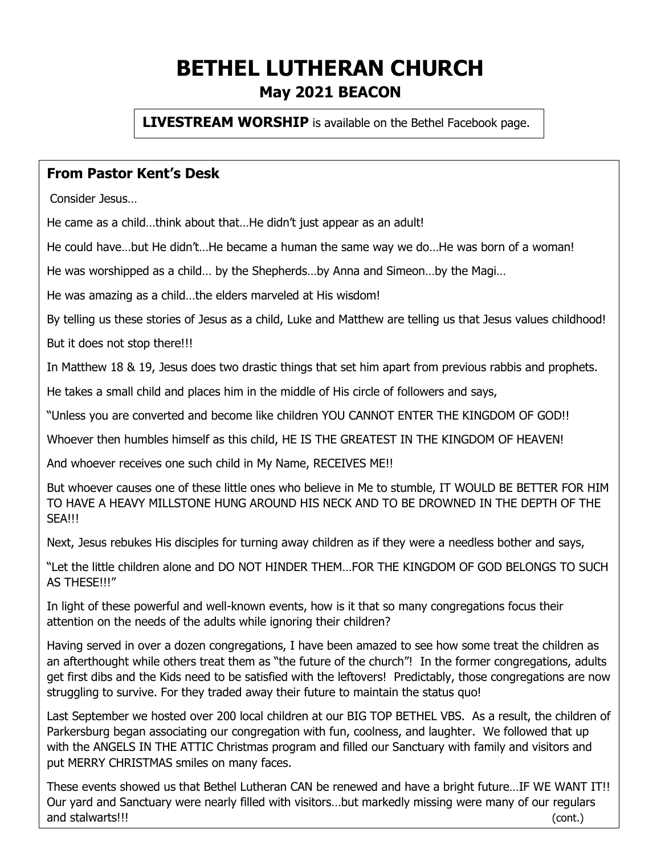# **BETHEL LUTHERAN CHURCH May 2021 BEACON**

**LIVESTREAM WORSHIP** is available on the Bethel Facebook page.

### **From Pastor Kent's Desk**

Consider Jesus…

He came as a child…think about that…He didn't just appear as an adult!

He could have…but He didn't…He became a human the same way we do…He was born of a woman!

He was worshipped as a child… by the Shepherds…by Anna and Simeon…by the Magi…

He was amazing as a child…the elders marveled at His wisdom!

By telling us these stories of Jesus as a child, Luke and Matthew are telling us that Jesus values childhood!

But it does not stop there!!!

In Matthew 18 & 19, Jesus does two drastic things that set him apart from previous rabbis and prophets.

He takes a small child and places him in the middle of His circle of followers and says,

"Unless you are converted and become like children YOU CANNOT ENTER THE KINGDOM OF GOD!!

Whoever then humbles himself as this child, HE IS THE GREATEST IN THE KINGDOM OF HEAVEN!

And whoever receives one such child in My Name, RECEIVES ME!!

But whoever causes one of these little ones who believe in Me to stumble, IT WOULD BE BETTER FOR HIM TO HAVE A HEAVY MILLSTONE HUNG AROUND HIS NECK AND TO BE DROWNED IN THE DEPTH OF THE SEA!!!

Next, Jesus rebukes His disciples for turning away children as if they were a needless bother and says,

"Let the little children alone and DO NOT HINDER THEM…FOR THE KINGDOM OF GOD BELONGS TO SUCH AS THESE!!!"

In light of these powerful and well-known events, how is it that so many congregations focus their attention on the needs of the adults while ignoring their children?

Having served in over a dozen congregations, I have been amazed to see how some treat the children as an afterthought while others treat them as "the future of the church"! In the former congregations, adults get first dibs and the Kids need to be satisfied with the leftovers! Predictably, those congregations are now struggling to survive. For they traded away their future to maintain the status quo!

Last September we hosted over 200 local children at our BIG TOP BETHEL VBS. As a result, the children of Parkersburg began associating our congregation with fun, coolness, and laughter. We followed that up with the ANGELS IN THE ATTIC Christmas program and filled our Sanctuary with family and visitors and put MERRY CHRISTMAS smiles on many faces.

These events showed us that Bethel Lutheran CAN be renewed and have a bright future…IF WE WANT IT!! Our yard and Sanctuary were nearly filled with visitors…but markedly missing were many of our regulars and stalwarts!!! (cont.)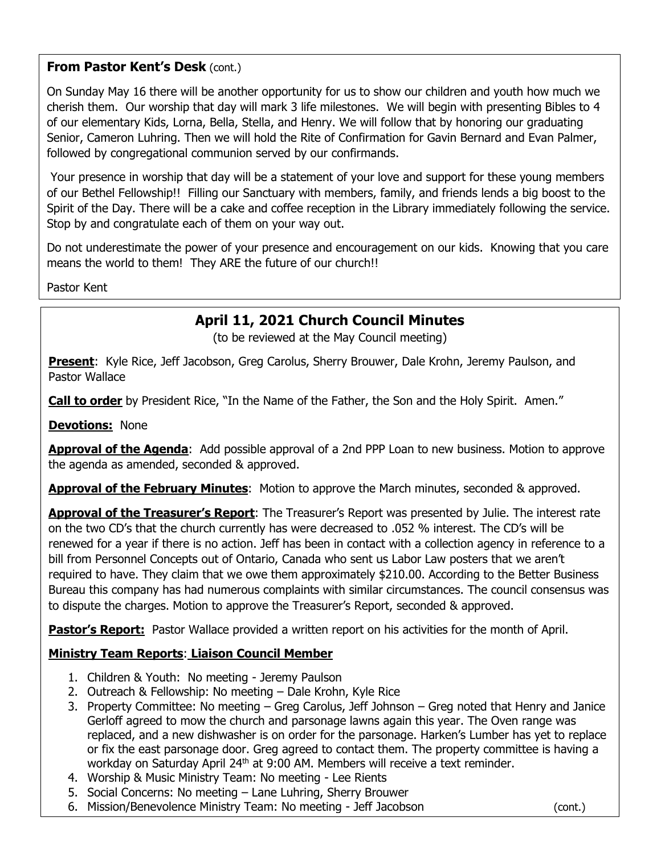#### **From Pastor Kent's Desk (cont.)**

On Sunday May 16 there will be another opportunity for us to show our children and youth how much we cherish them. Our worship that day will mark 3 life milestones. We will begin with presenting Bibles to 4 of our elementary Kids, Lorna, Bella, Stella, and Henry. We will follow that by honoring our graduating Senior, Cameron Luhring. Then we will hold the Rite of Confirmation for Gavin Bernard and Evan Palmer, followed by congregational communion served by our confirmands.

Your presence in worship that day will be a statement of your love and support for these young members of our Bethel Fellowship!! Filling our Sanctuary with members, family, and friends lends a big boost to the Spirit of the Day. There will be a cake and coffee reception in the Library immediately following the service. Stop by and congratulate each of them on your way out.

Do not underestimate the power of your presence and encouragement on our kids. Knowing that you care means the world to them! They ARE the future of our church!!

Pastor Kent

## **April 11, 2021 Church Council Minutes**

(to be reviewed at the May Council meeting)

**Present**: Kyle Rice, Jeff Jacobson, Greg Carolus, Sherry Brouwer, Dale Krohn, Jeremy Paulson, and Pastor Wallace

**Call to order** by President Rice, "In the Name of the Father, the Son and the Holy Spirit. Amen."

**Devotions:** None

**Approval of the Agenda**: Add possible approval of a 2nd PPP Loan to new business. Motion to approve the agenda as amended, seconded & approved.

**Approval of the February Minutes**: Motion to approve the March minutes, seconded & approved.

**Approval of the Treasurer's Report**: The Treasurer's Report was presented by Julie. The interest rate on the two CD's that the church currently has were decreased to .052 % interest. The CD's will be renewed for a year if there is no action. Jeff has been in contact with a collection agency in reference to a bill from Personnel Concepts out of Ontario, Canada who sent us Labor Law posters that we aren't required to have. They claim that we owe them approximately \$210.00. According to the Better Business Bureau this company has had numerous complaints with similar circumstances. The council consensus was to dispute the charges. Motion to approve the Treasurer's Report, seconded & approved.

Pastor's Report: Pastor Wallace provided a written report on his activities for the month of April.

#### **Ministry Team Reports**: **Liaison Council Member**

- 1. Children & Youth: No meeting Jeremy Paulson
- 2. Outreach & Fellowship: No meeting Dale Krohn, Kyle Rice
- 3. Property Committee: No meeting Greg Carolus, Jeff Johnson Greg noted that Henry and Janice Gerloff agreed to mow the church and parsonage lawns again this year. The Oven range was replaced, and a new dishwasher is on order for the parsonage. Harken's Lumber has yet to replace or fix the east parsonage door. Greg agreed to contact them. The property committee is having a workday on Saturday April 24<sup>th</sup> at 9:00 AM. Members will receive a text reminder.
- 4. Worship & Music Ministry Team: No meeting Lee Rients
- 5. Social Concerns: No meeting Lane Luhring, Sherry Brouwer
- 6. Mission/Benevolence Ministry Team: No meeting Jeff Jacobson (cont.)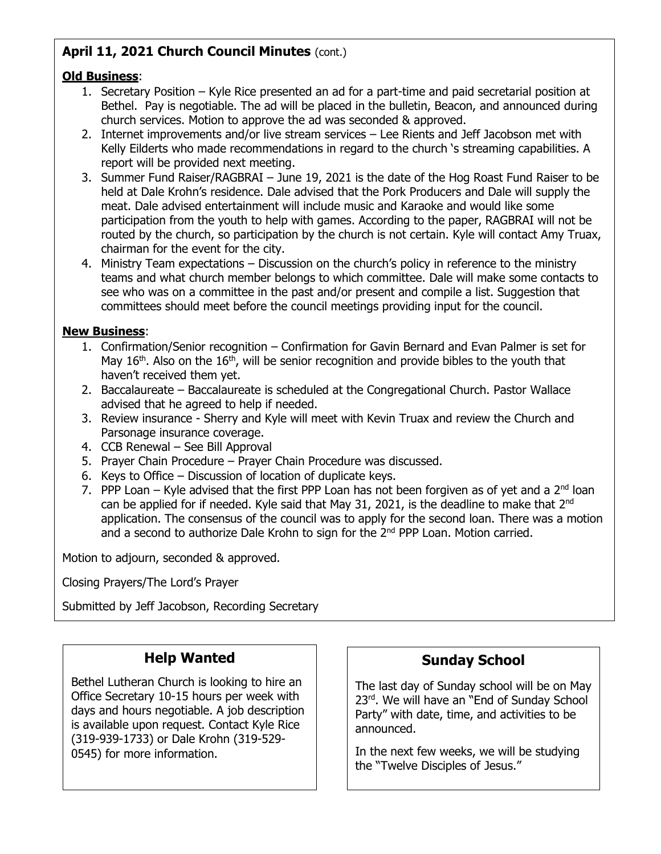### **April 11, 2021 Church Council Minutes** (cont.)

#### **Old Business**:

- 1. Secretary Position Kyle Rice presented an ad for a part-time and paid secretarial position at Bethel. Pay is negotiable. The ad will be placed in the bulletin, Beacon, and announced during church services. Motion to approve the ad was seconded & approved.
- 2. Internet improvements and/or live stream services Lee Rients and Jeff Jacobson met with Kelly Eilderts who made recommendations in regard to the church 's streaming capabilities. A report will be provided next meeting.
- 3. Summer Fund Raiser/RAGBRAI June 19, 2021 is the date of the Hog Roast Fund Raiser to be held at Dale Krohn's residence. Dale advised that the Pork Producers and Dale will supply the meat. Dale advised entertainment will include music and Karaoke and would like some participation from the youth to help with games. According to the paper, RAGBRAI will not be routed by the church, so participation by the church is not certain. Kyle will contact Amy Truax, chairman for the event for the city.
- 4. Ministry Team expectations Discussion on the church's policy in reference to the ministry teams and what church member belongs to which committee. Dale will make some contacts to see who was on a committee in the past and/or present and compile a list. Suggestion that committees should meet before the council meetings providing input for the council.

#### **New Business**:

- 1. Confirmation/Senior recognition Confirmation for Gavin Bernard and Evan Palmer is set for May  $16<sup>th</sup>$ . Also on the  $16<sup>th</sup>$ , will be senior recognition and provide bibles to the youth that haven't received them yet.
- 2. Baccalaureate Baccalaureate is scheduled at the Congregational Church. Pastor Wallace advised that he agreed to help if needed.
- 3. Review insurance Sherry and Kyle will meet with Kevin Truax and review the Church and Parsonage insurance coverage.
- 4. CCB Renewal See Bill Approval
- 5. Prayer Chain Procedure Prayer Chain Procedure was discussed.
- 6. Keys to Office Discussion of location of duplicate keys.
- 7. PPP Loan Kyle advised that the first PPP Loan has not been forgiven as of yet and a  $2<sup>nd</sup>$  loan can be applied for if needed. Kyle said that May 31, 2021, is the deadline to make that 2<sup>nd</sup> application. The consensus of the council was to apply for the second loan. There was a motion and a second to authorize Dale Krohn to sign for the 2<sup>nd</sup> PPP Loan. Motion carried.

Motion to adjourn, seconded & approved.

Closing Prayers/The Lord's Prayer

Submitted by Jeff Jacobson, Recording Secretary

### **Help Wanted**

Bethel Lutheran Church is looking to hire an Office Secretary 10-15 hours per week with days and hours negotiable. A job description is available upon request. Contact Kyle Rice (319-939-1733) or Dale Krohn (319-529- 0545) for more information.

### **Sunday School**

The last day of Sunday school will be on May 23<sup>rd</sup>. We will have an "End of Sunday School Party" with date, time, and activities to be announced.

In the next few weeks, we will be studying the "Twelve Disciples of Jesus."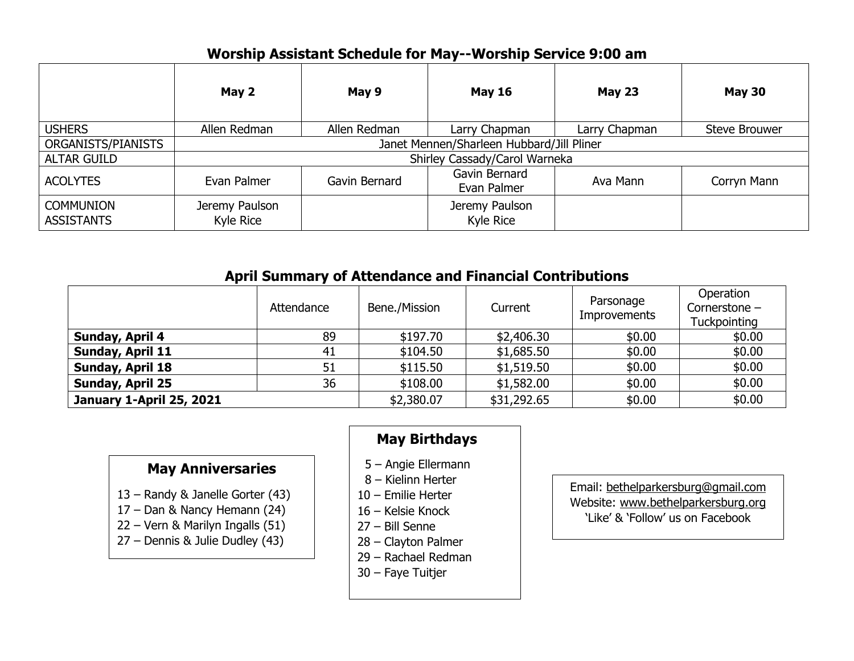### **Worship Assistant Schedule for May--Worship Service 9:00 am**

|                                       | May 2                                     | May 9         | <b>May 16</b>                | <b>May 23</b> | <b>May 30</b>        |  |
|---------------------------------------|-------------------------------------------|---------------|------------------------------|---------------|----------------------|--|
| <b>USHERS</b>                         | Allen Redman                              | Allen Redman  | Larry Chapman                | Larry Chapman | <b>Steve Brouwer</b> |  |
| ORGANISTS/PIANISTS                    | Janet Mennen/Sharleen Hubbard/Jill Pliner |               |                              |               |                      |  |
| <b>ALTAR GUILD</b>                    | Shirley Cassady/Carol Warneka             |               |                              |               |                      |  |
| <b>ACOLYTES</b>                       | Evan Palmer                               | Gavin Bernard | Gavin Bernard<br>Evan Palmer | Ava Mann      | Corryn Mann          |  |
| <b>COMMUNION</b><br><b>ASSISTANTS</b> | Jeremy Paulson<br>Kyle Rice               |               | Jeremy Paulson<br>Kyle Rice  |               |                      |  |

### **April Summary of Attendance and Financial Contributions**

|                                 | Attendance | Bene./Mission | Current     | Parsonage<br><b>Improvements</b> | <b>Operation</b><br>Cornerstone -<br>Tuckpointing |
|---------------------------------|------------|---------------|-------------|----------------------------------|---------------------------------------------------|
| Sunday, April 4                 | 89         | \$197.70      | \$2,406.30  | \$0.00                           | \$0.00                                            |
| <b>Sunday, April 11</b>         | 41         | \$104.50      | \$1,685.50  | \$0.00                           | \$0.00                                            |
| <b>Sunday, April 18</b>         | 51         | \$115.50      | \$1,519.50  | \$0.00                           | \$0.00                                            |
| <b>Sunday, April 25</b>         | 36         | \$108.00      | \$1,582.00  | \$0.00                           | \$0.00                                            |
| <b>January 1-April 25, 2021</b> |            | \$2,380.07    | \$31,292.65 | \$0.00                           | \$0.00                                            |

### **May Anniversaries**

- 13 Randy & Janelle Gorter (43)
- 17 Dan & Nancy Hemann (24)
- 22 Vern & Marilyn Ingalls (51)
- 27 Dennis & Julie Dudley (43)

# **May Birthdays**

- 5 Angie Ellermann
- 8 Kielinn Herter
- 10 Emilie Herter
- 16 Kelsie Knock
- 27 Bill Senne
- 28 Clayton Palmer
- 29 Rachael Redman
- 30 Faye Tuitjer

Email: bethelparkersburg@gmail.com Website: www.bethelparkersburg.org 'Like' & 'Follow' us on Facebook